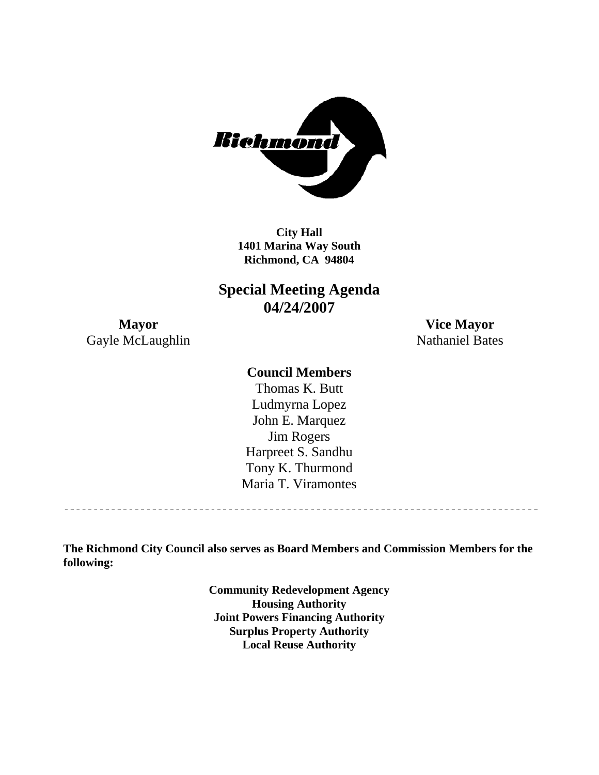

**Richmond, CA 94804 City Hall 1401 Marina Way South** 

**Special Meeting Agenda 04/24/2007** 

**Mayor Vice Mayor**  Gayle McLaughlin Nathaniel Bates

## **Council Members**

Harpreet S. Sandhu Tony K. Thurmond Maria T. Viramontes Thomas K. Butt Ludmyrna Lopez John E. Marquez Jim Rogers

**The Richmond City Council also serves as Board Members and Commission Members for the following:** 

> **Community Redevelopment Agency Housing Authority Joint Powers Financing Authority Surplus Property Authority Local Reuse Authority**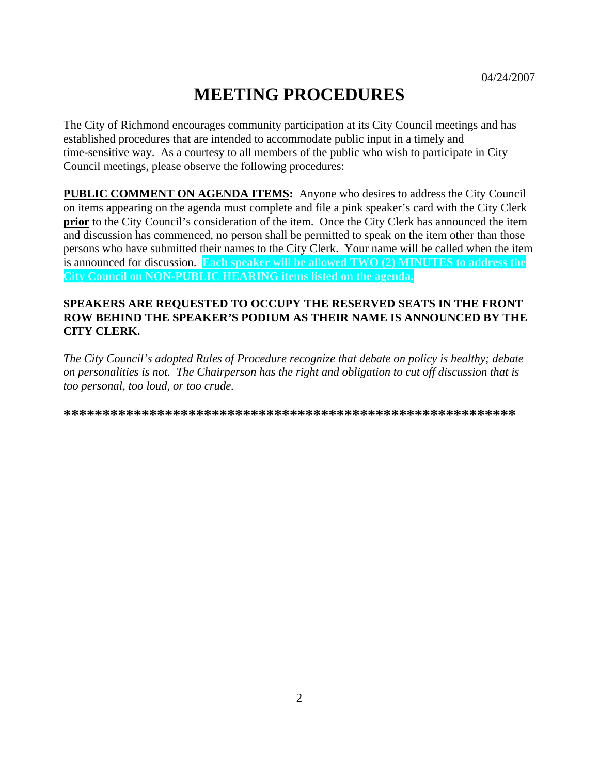# **MEETING PROCEDURES**

The City of Richmond encourages community participation at its City Council meetings and has established procedures that are intended to accommodate public input in a timely and time-sensitive way. As a courtesy to all members of the public who wish to participate in City Council meetings, please observe the following procedures:

**PUBLIC COMMENT ON AGENDA ITEMS:** Anyone who desires to address the City Council on items appearing on the agenda must complete and file a pink speaker's card with the City Clerk **prior** to the City Council's consideration of the item. Once the City Clerk has announced the item and discussion has commenced, no person shall be permitted to speak on the item other than those persons who have submitted their names to the City Clerk. Your name will be called when the item is announced for discussion. **Each speaker will be allowed TWO (2) MINUTES to address the City Council on NON-PUBLIC HEARING items listed on the agenda.** 

#### **SPEAKERS ARE REQUESTED TO OCCUPY THE RESERVED SEATS IN THE FRONT ROW BEHIND THE SPEAKER'S PODIUM AS THEIR NAME IS ANNOUNCED BY THE CITY CLERK.**

*The City Council's adopted Rules of Procedure recognize that debate on policy is healthy; debate on personalities is not. The Chairperson has the right and obligation to cut off discussion that is too personal, too loud, or too crude.* 

**\*\*\*\*\*\*\*\*\*\*\*\*\*\*\*\*\*\*\*\*\*\*\*\*\*\*\*\*\*\*\*\*\*\*\*\*\*\*\*\*\*\*\*\*\*\*\*\*\*\*\*\*\*\*\*\*\*\***